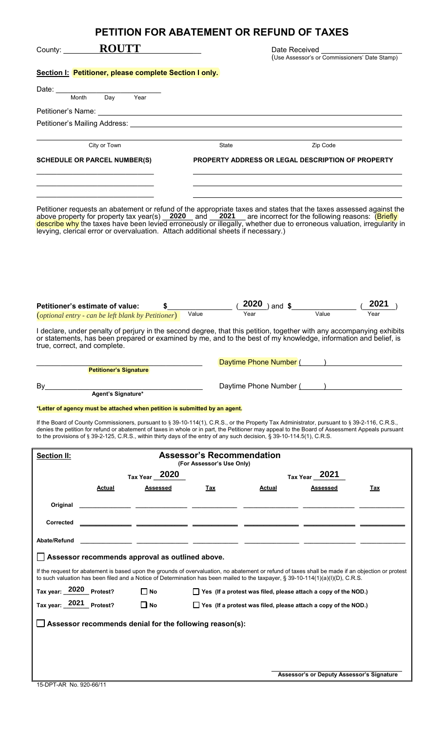|                                                                                                                                                                                                                                                                                                                                                                                                                                             |                               | PETITION FOR ABATEMENT OR REFUND OF TAXES                      |                                                                                                                                                                       |                                           |      |  |
|---------------------------------------------------------------------------------------------------------------------------------------------------------------------------------------------------------------------------------------------------------------------------------------------------------------------------------------------------------------------------------------------------------------------------------------------|-------------------------------|----------------------------------------------------------------|-----------------------------------------------------------------------------------------------------------------------------------------------------------------------|-------------------------------------------|------|--|
| <b>ROUTT</b><br>County: $\frac{1}{2}$                                                                                                                                                                                                                                                                                                                                                                                                       |                               | Date Received<br>(Use Assessor's or Commissioners' Date Stamp) |                                                                                                                                                                       |                                           |      |  |
| Section I: Petitioner, please complete Section I only.                                                                                                                                                                                                                                                                                                                                                                                      |                               |                                                                |                                                                                                                                                                       |                                           |      |  |
| Date:                                                                                                                                                                                                                                                                                                                                                                                                                                       |                               |                                                                |                                                                                                                                                                       |                                           |      |  |
| Month                                                                                                                                                                                                                                                                                                                                                                                                                                       | Day<br>Year                   |                                                                |                                                                                                                                                                       |                                           |      |  |
|                                                                                                                                                                                                                                                                                                                                                                                                                                             |                               |                                                                |                                                                                                                                                                       |                                           |      |  |
|                                                                                                                                                                                                                                                                                                                                                                                                                                             |                               |                                                                |                                                                                                                                                                       |                                           |      |  |
| City or Town                                                                                                                                                                                                                                                                                                                                                                                                                                |                               | State                                                          |                                                                                                                                                                       | Zip Code                                  |      |  |
| <b>SCHEDULE OR PARCEL NUMBER(S)</b>                                                                                                                                                                                                                                                                                                                                                                                                         |                               |                                                                | PROPERTY ADDRESS OR LEGAL DESCRIPTION OF PROPERTY<br>and the control of the control of the control of the control of the control of the control of the control of the |                                           |      |  |
|                                                                                                                                                                                                                                                                                                                                                                                                                                             |                               |                                                                |                                                                                                                                                                       |                                           |      |  |
| Petitioner requests an abatement or refund of the appropriate taxes and states that the taxes assessed against the<br>above property for property tax year(s) 2020 and 2021 are incorrect for the following reasons: (Briefly<br>describe why the taxes have been levied erroneously or illegally, whether due to erroneous valuation, irregularity in<br>levying, clerical error or overvaluation. Attach additional sheets if necessary.) |                               |                                                                |                                                                                                                                                                       |                                           |      |  |
| Petitioner's estimate of value:                                                                                                                                                                                                                                                                                                                                                                                                             | \$                            |                                                                | $2020$ ) and $\frac{1}{2}$                                                                                                                                            |                                           | 2021 |  |
| (optional entry - can be left blank by Petitioner)                                                                                                                                                                                                                                                                                                                                                                                          |                               | Value                                                          | Year                                                                                                                                                                  | Value                                     | Year |  |
| I declare, under penalty of perjury in the second degree, that this petition, together with any accompanying exhibits<br>or statements, has been prepared or examined by me, and to the best of my knowledge, information and belief, is<br>true, correct, and complete.                                                                                                                                                                    |                               |                                                                |                                                                                                                                                                       |                                           |      |  |
|                                                                                                                                                                                                                                                                                                                                                                                                                                             |                               |                                                                | Daytime Phone Number (Fig. 2013)                                                                                                                                      |                                           |      |  |
|                                                                                                                                                                                                                                                                                                                                                                                                                                             | <b>Petitioner's Signature</b> |                                                                |                                                                                                                                                                       |                                           |      |  |
| By                                                                                                                                                                                                                                                                                                                                                                                                                                          | Agent's Signature*            |                                                                | Daytime Phone Number (August 2012)                                                                                                                                    |                                           |      |  |
| *Letter of agency must be attached when petition is submitted by an agent.                                                                                                                                                                                                                                                                                                                                                                  |                               |                                                                |                                                                                                                                                                       |                                           |      |  |
| If the Board of County Commissioners, pursuant to § 39-10-114(1), C.R.S., or the Property Tax Administrator, pursuant to § 39-2-116, C.R.S.,<br>denies the petition for refund or abatement of taxes in whole or in part, the Petitioner may appeal to the Board of Assessment Appeals pursuant<br>to the provisions of § 39-2-125, C.R.S., within thirty days of the entry of any such decision, § 39-10-114.5(1), C.R.S.                  |                               |                                                                |                                                                                                                                                                       |                                           |      |  |
| <b>Section II:</b>                                                                                                                                                                                                                                                                                                                                                                                                                          |                               | <b>Assessor's Recommendation</b>                               |                                                                                                                                                                       |                                           |      |  |
|                                                                                                                                                                                                                                                                                                                                                                                                                                             |                               | (For Assessor's Use Only)                                      |                                                                                                                                                                       |                                           |      |  |
|                                                                                                                                                                                                                                                                                                                                                                                                                                             | Tax Year 2020                 |                                                                |                                                                                                                                                                       | Tax Year <sub>2021</sub><br>Assessed      |      |  |
| Actual                                                                                                                                                                                                                                                                                                                                                                                                                                      | Assessed                      | Tax                                                            | Actual                                                                                                                                                                |                                           | Tax  |  |
| Original                                                                                                                                                                                                                                                                                                                                                                                                                                    |                               |                                                                |                                                                                                                                                                       |                                           |      |  |
| Corrected                                                                                                                                                                                                                                                                                                                                                                                                                                   |                               |                                                                |                                                                                                                                                                       |                                           |      |  |
| Abate/Refund                                                                                                                                                                                                                                                                                                                                                                                                                                |                               |                                                                |                                                                                                                                                                       |                                           |      |  |
| Assessor recommends approval as outlined above.                                                                                                                                                                                                                                                                                                                                                                                             |                               |                                                                |                                                                                                                                                                       |                                           |      |  |
| If the request for abatement is based upon the grounds of overvaluation, no abatement or refund of taxes shall be made if an objection or protest<br>to such valuation has been filed and a Notice of Determination has been mailed to the taxpayer, § 39-10-114(1)(a)(l)(D), C.R.S.                                                                                                                                                        |                               |                                                                |                                                                                                                                                                       |                                           |      |  |
| Tax year: 2020 Protest?                                                                                                                                                                                                                                                                                                                                                                                                                     | $\Box$ No                     |                                                                | Yes (If a protest was filed, please attach a copy of the NOD.)                                                                                                        |                                           |      |  |
| Tax year: 2021 Protest?                                                                                                                                                                                                                                                                                                                                                                                                                     | $\Box$ No                     |                                                                | $\Box$ Yes (If a protest was filed, please attach a copy of the NOD.)                                                                                                 |                                           |      |  |
| Assessor recommends denial for the following reason(s):                                                                                                                                                                                                                                                                                                                                                                                     |                               |                                                                |                                                                                                                                                                       |                                           |      |  |
|                                                                                                                                                                                                                                                                                                                                                                                                                                             |                               |                                                                |                                                                                                                                                                       |                                           |      |  |
|                                                                                                                                                                                                                                                                                                                                                                                                                                             |                               |                                                                |                                                                                                                                                                       | Assessor's or Deputy Assessor's Signature |      |  |